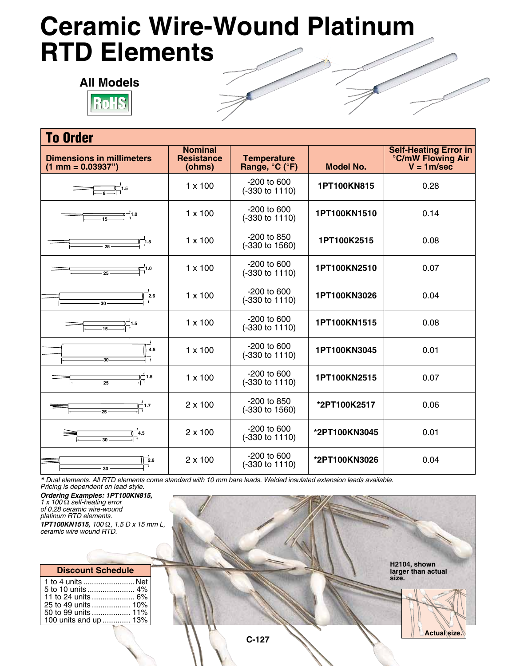## **Ceramic Wire-Wound Platinum RTD Elements**



| <b>To Order</b>                                                                                            |                                               |                                      |                  |                                                                          |  |
|------------------------------------------------------------------------------------------------------------|-----------------------------------------------|--------------------------------------|------------------|--------------------------------------------------------------------------|--|
| <b>Dimensions in millimeters</b><br>$(1 \text{ mm} = 0.03937^{\circ})$                                     | <b>Nominal</b><br><b>Resistance</b><br>(ohms) | <b>Temperature</b><br>Range, °C (°F) | <b>Model No.</b> | <b>Self-Heating Error in</b><br><b>°C/mW Flowing Air</b><br>$V = 1m/sec$ |  |
|                                                                                                            | $1 \times 100$                                | $-200$ to 600<br>(-330 to 1110)      | 1PT100KN815      | 0.28                                                                     |  |
| $\frac{1}{2}$ 1.0                                                                                          | $1 \times 100$                                | $-200$ to 600<br>(-330 to 1110)      | 1PT100KN1510     | 0.14                                                                     |  |
| 1.5 –ֲ<br>$-25$                                                                                            | $1 \times 100$                                | -200 to 850<br>(-330 to 1560)        | 1PT100K2515      | 0.08                                                                     |  |
| 덕1.0<br>$\overline{25}$                                                                                    | $1 \times 100$                                | $-200$ to 600<br>(-330 to 1110)      | 1PT100KN2510     | 0.07                                                                     |  |
| 2.6                                                                                                        | $1 \times 100$                                | $-200$ to 600<br>(-330 to 1110)      | 1PT100KN3026     | 0.04                                                                     |  |
| $\begin{array}{c c}\n\hline\n\end{array}\n\qquad \qquad \begin{array}{c}\n\hline\n\end{array}\n\qquad 1.5$ | $1 \times 100$                                | $-200$ to 600<br>(-330 to 1110)      | 1PT100KN1515     | 0.08                                                                     |  |
| 4.5<br>$30 -$                                                                                              | $1 \times 100$                                | $-200$ to 600<br>(-330 to 1110)      | 1PT100KN3045     | 0.01                                                                     |  |
| $-1.5$                                                                                                     | $1 \times 100$                                | $-200$ to 600<br>(-330 to 1110)      | 1PT100KN2515     | 0.07                                                                     |  |
| $\overline{1}$ 1.7<br>$\overline{25}$                                                                      | $2 \times 100$                                | -200 to 850<br>(-330 to 1560)        | *2PT100K2517     | 0.06                                                                     |  |
| $\mathbb{0}^-$ 4.5<br>30                                                                                   | 2 x 100                                       | $-200$ to 600<br>(-330 to 1110)      | *2PT100KN3045    | 0.01                                                                     |  |
| 2.6<br>30                                                                                                  | $2 \times 100$                                | $-200$ to 600<br>(-330 to 1110)      | *2PT100KN3026    | 0.04                                                                     |  |

*\* Dual elements. All RTD elements come standard with 10 mm bare leads. Welded insulated extension leads available. Pricing is dependent on lead style.*

*Ordering Examples: 1PT100KN815, 1 x 100* Ω *self-heating error of 0.28 ceramic wire-wound platinum RTD elements. 1PT100KN1515, 100* Ω*, 1.5 D x 15 mm L, ceramic wire wound RTD.*

## **Discount Schedule**

| 1 to 4 units  Net     |  |
|-----------------------|--|
|                       |  |
|                       |  |
|                       |  |
|                       |  |
| 100 units and up  13% |  |
|                       |  |